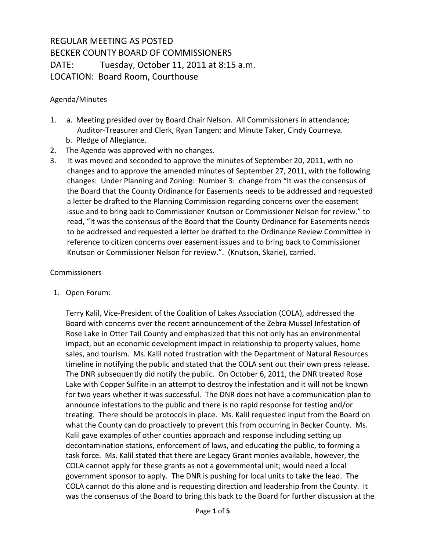## REGULAR MEETING AS POSTED BECKER COUNTY BOARD OF COMMISSIONERS DATE: Tuesday, October 11, 2011 at 8:15 a.m. LOCATION: Board Room, Courthouse

## Agenda/Minutes

- 1. a. Meeting presided over by Board Chair Nelson. All Commissioners in attendance; Auditor-Treasurer and Clerk, Ryan Tangen; and Minute Taker, Cindy Courneya. b. Pledge of Allegiance.
- 2. The Agenda was approved with no changes.
- 3. It was moved and seconded to approve the minutes of September 20, 2011, with no changes and to approve the amended minutes of September 27, 2011, with the following changes: Under Planning and Zoning: Number 3: change from "It was the consensus of the Board that the County Ordinance for Easements needs to be addressed and requested a letter be drafted to the Planning Commission regarding concerns over the easement issue and to bring back to Commissioner Knutson or Commissioner Nelson for review." to read, "It was the consensus of the Board that the County Ordinance for Easements needs to be addressed and requested a letter be drafted to the Ordinance Review Committee in reference to citizen concerns over easement issues and to bring back to Commissioner Knutson or Commissioner Nelson for review.". (Knutson, Skarie), carried.

## **Commissioners**

1. Open Forum:

Terry Kalil, Vice-President of the Coalition of Lakes Association (COLA), addressed the Board with concerns over the recent announcement of the Zebra Mussel Infestation of Rose Lake in Otter Tail County and emphasized that this not only has an environmental impact, but an economic development impact in relationship to property values, home sales, and tourism. Ms. Kalil noted frustration with the Department of Natural Resources timeline in notifying the public and stated that the COLA sent out their own press release. The DNR subsequently did notify the public. On October 6, 2011, the DNR treated Rose Lake with Copper Sulfite in an attempt to destroy the infestation and it will not be known for two years whether it was successful. The DNR does not have a communication plan to announce infestations to the public and there is no rapid response for testing and/or treating. There should be protocols in place. Ms. Kalil requested input from the Board on what the County can do proactively to prevent this from occurring in Becker County. Ms. Kalil gave examples of other counties approach and response including setting up decontamination stations, enforcement of laws, and educating the public, to forming a task force. Ms. Kalil stated that there are Legacy Grant monies available, however, the COLA cannot apply for these grants as not a governmental unit; would need a local government sponsor to apply. The DNR is pushing for local units to take the lead. The COLA cannot do this alone and is requesting direction and leadership from the County. It was the consensus of the Board to bring this back to the Board for further discussion at the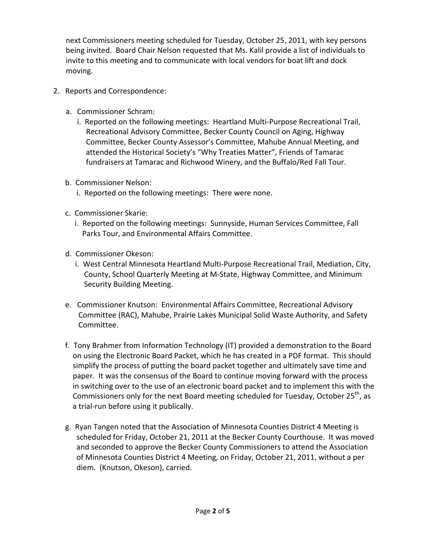next Commissioners meeting scheduled for Tuesday, October 25, 2011, with key persons being invited. Board Chair Nelson requested that Ms. Kalil provide a list of individuals to invite to this meeting and to communicate with local vendors for boat lift and dock moving.

- 2. Reports and Correspondence:
	- a. Commissioner Schram:
		- i. Reported on the following meetings: Heartland Multi-Purpose Recreational Trail, Recreational Advisory Committee, Becker County Council on Aging, Highway Committee, Becker County Assessor's Committee, Mahube Annual Meeting, and attended the Historical Society's "Why Treaties Matter", Friends of Tamarac fundraisers at Tamarac and Richwood Winery, and the Buffalo/Red Fall Tour.
	- b. Commissioner Nelson:
		- i. Reported on the following meetings: There were none.
	- c. Commissioner Skarie:
		- i. Reported on the following meetings: Sunnyside, Human Services Committee, Fall Parks Tour, and Environmental Affairs Committee.
	- d. Commissioner Okeson:
		- i. West Central Minnesota Heartland Multi-Purpose Recreational Trail, Mediation, City, County, School Quarterly Meeting at M-State, Highway Committee, and Minimum Security Building Meeting.
	- e. Commissioner Knutson: Environmental Affairs Committee, Recreational Advisory Committee (RAC), Mahube, Prairie Lakes Municipal Solid Waste Authority, and Safety Committee.
	- f. Tony Brahmer from Information Technology (IT) provided a demonstration to the Board on using the Electronic Board Packet, which he has created in a PDF format. This should simplify the process of putting the board packet together and ultimately save time and paper. It was the consensus of the Board to continue moving forward with the process in switching over to the use of an electronic board packet and to implement this with the Commissioners only for the next Board meeting scheduled for Tuesday, October 25<sup>th</sup>, as a trial-run before using it publically.
	- g. Ryan Tangen noted that the Association of Minnesota Counties District 4 Meeting is scheduled for Friday, October 21, 2011 at the Becker County Courthouse. It was moved and seconded to approve the Becker County Commissioners to attend the Association of Minnesota Counties District 4 Meeting, on Friday, October 21, 2011, without a per diem. (Knutson, Okeson), carried.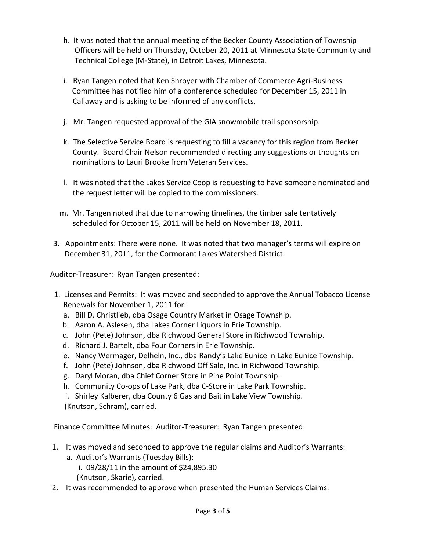- h. It was noted that the annual meeting of the Becker County Association of Township Officers will be held on Thursday, October 20, 2011 at Minnesota State Community and Technical College (M-State), in Detroit Lakes, Minnesota.
- i. Ryan Tangen noted that Ken Shroyer with Chamber of Commerce Agri-Business Committee has notified him of a conference scheduled for December 15, 2011 in Callaway and is asking to be informed of any conflicts.
- j. Mr. Tangen requested approval of the GIA snowmobile trail sponsorship.
- k. The Selective Service Board is requesting to fill a vacancy for this region from Becker County. Board Chair Nelson recommended directing any suggestions or thoughts on nominations to Lauri Brooke from Veteran Services.
- l. It was noted that the Lakes Service Coop is requesting to have someone nominated and the request letter will be copied to the commissioners.
- m. Mr. Tangen noted that due to narrowing timelines, the timber sale tentatively scheduled for October 15, 2011 will be held on November 18, 2011.
- 3. Appointments: There were none. It was noted that two manager's terms will expire on December 31, 2011, for the Cormorant Lakes Watershed District.

Auditor-Treasurer: Ryan Tangen presented:

- 1. Licenses and Permits: It was moved and seconded to approve the Annual Tobacco License Renewals for November 1, 2011 for:
	- a. Bill D. Christlieb, dba Osage Country Market in Osage Township.
	- b. Aaron A. Aslesen, dba Lakes Corner Liquors in Erie Township.
	- c. John (Pete) Johnson, dba Richwood General Store in Richwood Township.
	- d. Richard J. Bartelt, dba Four Corners in Erie Township.
	- e. Nancy Wermager, Delheln, Inc., dba Randy's Lake Eunice in Lake Eunice Township.
	- f. John (Pete) Johnson, dba Richwood Off Sale, Inc. in Richwood Township.
	- g. Daryl Moran, dba Chief Corner Store in Pine Point Township.
	- h. Community Co-ops of Lake Park, dba C-Store in Lake Park Township.
	- i. Shirley Kalberer, dba County 6 Gas and Bait in Lake View Township.

(Knutson, Schram), carried.

Finance Committee Minutes: Auditor-Treasurer: Ryan Tangen presented:

- 1. It was moved and seconded to approve the regular claims and Auditor's Warrants: a. Auditor's Warrants (Tuesday Bills):
	- i. 09/28/11 in the amount of \$24,895.30
	- (Knutson, Skarie), carried.
- 2. It was recommended to approve when presented the Human Services Claims.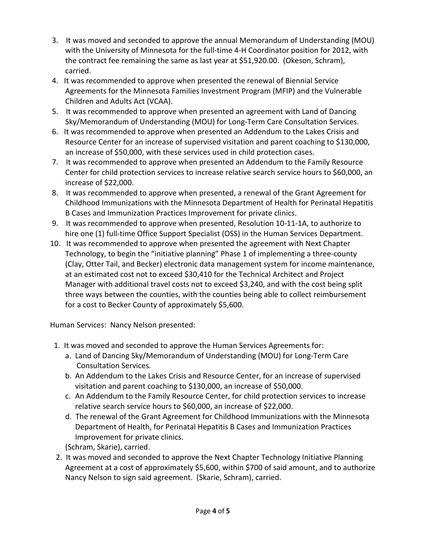- 3. It was moved and seconded to approve the annual Memorandum of Understanding (MOU) with the University of Minnesota for the full-time 4-H Coordinator position for 2012, with the contract fee remaining the same as last year at \$51,920.00. (Okeson, Schram), carried.
- 4. It was recommended to approve when presented the renewal of Biennial Service Agreements for the Minnesota Families Investment Program (MFIP) and the Vulnerable Children and Adults Act (VCAA).
- 5. It was recommended to approve when presented an agreement with Land of Dancing Sky/Memorandum of Understanding (MOU) for Long-Term Care Consultation Services.
- 6. It was recommended to approve when presented an Addendum to the Lakes Crisis and Resource Center for an increase of supervised visitation and parent coaching to \$130,000, an increase of \$50,000, with these services used in child protection cases.
- 7. It was recommended to approve when presented an Addendum to the Family Resource Center for child protection services to increase relative search service hours to \$60,000, an increase of \$22,000.
- 8. It was recommended to approve when presented, a renewal of the Grant Agreement for Childhood Immunizations with the Minnesota Department of Health for Perinatal Hepatitis B Cases and Immunization Practices Improvement for private clinics.
- 9. It was recommended to approve when presented, Resolution 10-11-1A, to authorize to hire one (1) full-time Office Support Specialist (OSS) in the Human Services Department.
- 10. It was recommended to approve when presented the agreement with Next Chapter Technology, to begin the "initiative planning" Phase 1 of implementing a three-county (Clay, Otter Tail, and Becker) electronic data management system for income maintenance, at an estimated cost not to exceed \$30,410 for the Technical Architect and Project Manager with additional travel costs not to exceed \$3,240, and with the cost being split three ways between the counties, with the counties being able to collect reimbursement for a cost to Becker County of approximately \$5,600.

Human Services: Nancy Nelson presented:

- 1. It was moved and seconded to approve the Human Services Agreements for:
	- a. Land of Dancing Sky/Memorandum of Understanding (MOU) for Long-Term Care Consultation Services.
	- b. An Addendum to the Lakes Crisis and Resource Center, for an increase of supervised visitation and parent coaching to \$130,000, an increase of \$50,000.
	- c. An Addendum to the Family Resource Center, for child protection services to increase relative search service hours to \$60,000, an increase of \$22,000.
	- d. The renewal of the Grant Agreement for Childhood Immunizations with the Minnesota Department of Health, for Perinatal Hepatitis B Cases and Immunization Practices Improvement for private clinics.
	- (Schram, Skarie), carried.
- 2. It was moved and seconded to approve the Next Chapter Technology Initiative Planning Agreement at a cost of approximately \$5,600, within \$700 of said amount, and to authorize Nancy Nelson to sign said agreement. (Skarie, Schram), carried.